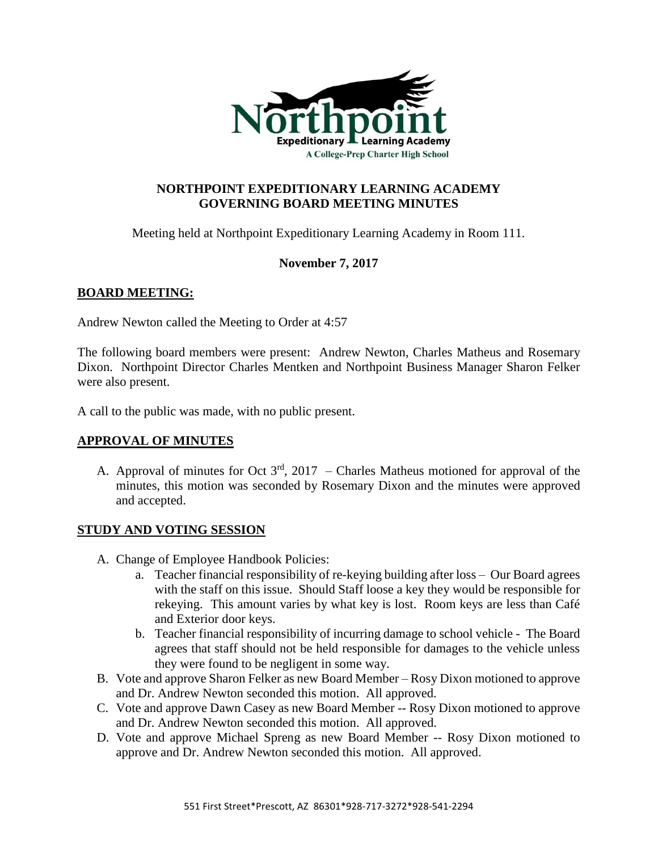

## **NORTHPOINT EXPEDITIONARY LEARNING ACADEMY GOVERNING BOARD MEETING MINUTES**

Meeting held at Northpoint Expeditionary Learning Academy in Room 111.

# **November 7, 2017**

## **BOARD MEETING:**

Andrew Newton called the Meeting to Order at 4:57

The following board members were present: Andrew Newton, Charles Matheus and Rosemary Dixon. Northpoint Director Charles Mentken and Northpoint Business Manager Sharon Felker were also present.

A call to the public was made, with no public present.

## **APPROVAL OF MINUTES**

A. Approval of minutes for Oct  $3<sup>rd</sup>$ , 2017 – Charles Matheus motioned for approval of the minutes, this motion was seconded by Rosemary Dixon and the minutes were approved and accepted.

## **STUDY AND VOTING SESSION**

- A. Change of Employee Handbook Policies:
	- a. Teacher financial responsibility of re-keying building after loss Our Board agrees with the staff on this issue. Should Staff loose a key they would be responsible for rekeying. This amount varies by what key is lost. Room keys are less than Café and Exterior door keys.
	- b. Teacher financial responsibility of incurring damage to school vehicle The Board agrees that staff should not be held responsible for damages to the vehicle unless they were found to be negligent in some way.
- B. Vote and approve Sharon Felker as new Board Member Rosy Dixon motioned to approve and Dr. Andrew Newton seconded this motion. All approved.
- C. Vote and approve Dawn Casey as new Board Member -- Rosy Dixon motioned to approve and Dr. Andrew Newton seconded this motion. All approved.
- D. Vote and approve Michael Spreng as new Board Member -- Rosy Dixon motioned to approve and Dr. Andrew Newton seconded this motion. All approved.